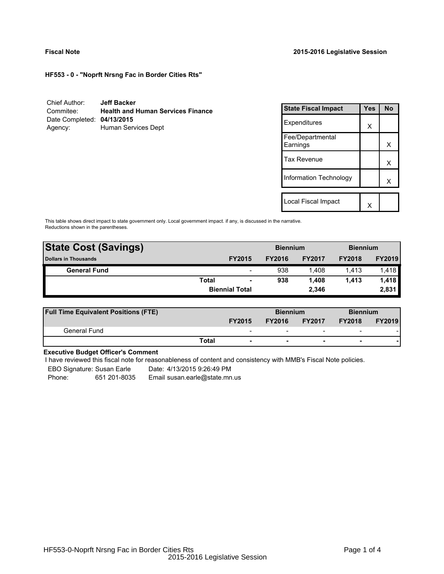**HF553 - 0 - "Noprft Nrsng Fac in Border Cities Rts"**

| Chief Author:              | <b>Jeff Backer</b>                       |
|----------------------------|------------------------------------------|
| Commitee:                  | <b>Health and Human Services Finance</b> |
| Date Completed: 04/13/2015 |                                          |
| Agency:                    | Human Services Dept                      |

| <b>State Fiscal Impact</b>   | Yes | <b>No</b> |
|------------------------------|-----|-----------|
| Expenditures                 | X   |           |
| Fee/Departmental<br>Earnings |     | x         |
| <b>Tax Revenue</b>           |     | x         |
| Information Technology       |     | x         |
|                              |     |           |
| Local Fiscal Impact          |     |           |

This table shows direct impact to state government only. Local government impact. if any, is discussed in the narrative. Reductions shown in the parentheses.

| <b>State Cost (Savings)</b> |              |                          | <b>Biennium</b> |               | <b>Biennium</b> |               |  |
|-----------------------------|--------------|--------------------------|-----------------|---------------|-----------------|---------------|--|
| <b>Dollars in Thousands</b> |              | <b>FY2015</b>            | <b>FY2016</b>   | <b>FY2017</b> | <b>FY2018</b>   | <b>FY2019</b> |  |
| <b>General Fund</b>         |              | $\overline{\phantom{a}}$ | 938             | 1.408         | 1.413           | 1,418         |  |
|                             | <b>Total</b> | $\blacksquare$           | 938             | 1.408         | 1.413           | 1,418         |  |
|                             |              | <b>Biennial Total</b>    |                 | 2.346         |                 | 2,831         |  |
|                             |              |                          |                 |               |                 |               |  |

| <b>Full Time Equivalent Positions (FTE)</b> |                          | <b>Biennium</b> |                          |                          | <b>Biennium</b> |
|---------------------------------------------|--------------------------|-----------------|--------------------------|--------------------------|-----------------|
|                                             | <b>FY2015</b>            | <b>FY2016</b>   | <b>FY2017</b>            | <b>FY2018</b>            | <b>FY2019</b>   |
| General Fund                                | $\overline{\phantom{0}}$ | -               | $\overline{\phantom{0}}$ | $\overline{\phantom{a}}$ |                 |
|                                             | Total                    |                 | $\overline{\phantom{0}}$ | $\overline{\phantom{0}}$ |                 |

## **Executive Budget Officer's Comment**

I have reviewed this fiscal note for reasonableness of content and consistency with MMB's Fiscal Note policies.

EBO Signature: Susan Earle Date: 4/13/2015 9:26:49 PM

Phone: 651 201-8035 Email susan.earle@state.mn.us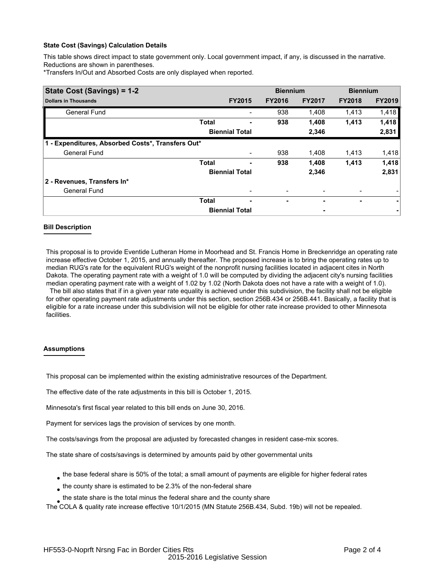### **State Cost (Savings) Calculation Details**

This table shows direct impact to state government only. Local government impact, if any, is discussed in the narrative. Reductions are shown in parentheses.

\*Transfers In/Out and Absorbed Costs are only displayed when reported.

| State Cost (Savings) = 1-2                        |              |                       |               | <b>Biennium</b> | <b>Biennium</b> |               |
|---------------------------------------------------|--------------|-----------------------|---------------|-----------------|-----------------|---------------|
| <b>Dollars in Thousands</b>                       |              | <b>FY2015</b>         | <b>FY2016</b> | <b>FY2017</b>   | <b>FY2018</b>   | <b>FY2019</b> |
| <b>General Fund</b>                               |              |                       | 938           | 1,408           | 1,413           | 1,418         |
|                                                   | <b>Total</b> |                       | 938           | 1,408           | 1,413           | 1,418         |
|                                                   |              | <b>Biennial Total</b> |               | 2,346           |                 | 2,831         |
| 1 - Expenditures, Absorbed Costs*, Transfers Out* |              |                       |               |                 |                 |               |
| <b>General Fund</b>                               |              |                       | 938           | 1,408           | 1,413           | 1,418         |
|                                                   | <b>Total</b> |                       | 938           | 1,408           | 1,413           | 1,418         |
|                                                   |              | <b>Biennial Total</b> |               | 2,346           |                 | 2,831         |
| 2 - Revenues, Transfers In*                       |              |                       |               |                 |                 |               |
| <b>General Fund</b>                               |              |                       |               |                 |                 |               |
|                                                   | <b>Total</b> |                       | ۰             |                 | ۰               |               |
|                                                   |              | <b>Biennial Total</b> |               |                 |                 |               |

### **Bill Description**

This proposal is to provide Eventide Lutheran Home in Moorhead and St. Francis Home in Breckenridge an operating rate increase effective October 1, 2015, and annually thereafter. The proposed increase is to bring the operating rates up to median RUG's rate for the equivalent RUG's weight of the nonprofit nursing facilities located in adjacent cites in North Dakota. The operating payment rate with a weight of 1.0 will be computed by dividing the adjacent city's nursing facilities median operating payment rate with a weight of 1.02 by 1.02 (North Dakota does not have a rate with a weight of 1.0). The bill also states that if in a given year rate equality is achieved under this subdivision, the facility shall not be eligible for other operating payment rate adjustments under this section, section 256B.434 or 256B.441. Basically, a facility that is

eligible for a rate increase under this subdivision will not be eligible for other rate increase provided to other Minnesota facilities.

### **Assumptions**

This proposal can be implemented within the existing administrative resources of the Department.

The effective date of the rate adjustments in this bill is October 1, 2015.

Minnesota's first fiscal year related to this bill ends on June 30, 2016.

Payment for services lags the provision of services by one month.

The costs/savings from the proposal are adjusted by forecasted changes in resident case-mix scores.

The state share of costs/savings is determined by amounts paid by other governmental units

- $_{\bullet}$  the base federal share is 50% of the total; a small amount of payments are eligible for higher federal rates
- $_{\bullet}$  the county share is estimated to be 2.3% of the non-federal share
- $_{\bullet}$  the state share is the total minus the federal share and the county share

The COLA & quality rate increase effective 10/1/2015 (MN Statute 256B.434, Subd. 19b) will not be repealed.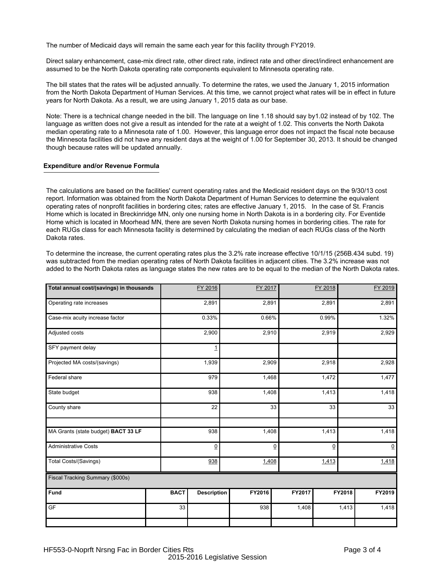The number of Medicaid days will remain the same each year for this facility through FY2019.

Direct salary enhancement, case-mix direct rate, other direct rate, indirect rate and other direct/indirect enhancement are assumed to be the North Dakota operating rate components equivalent to Minnesota operating rate.

The bill states that the rates will be adjusted annually. To determine the rates, we used the January 1, 2015 information from the North Dakota Department of Human Services. At this time, we cannot project what rates will be in effect in future years for North Dakota. As a result, we are using January 1, 2015 data as our base.

Note: There is a technical change needed in the bill. The language on line 1.18 should say by1.02 instead of by 102. The language as written does not give a result as intended for the rate at a weight of 1.02. This converts the North Dakota median operating rate to a Minnesota rate of 1.00. However, this language error does not impact the fiscal note because the Minnesota facilities did not have any resident days at the weight of 1.00 for September 30, 2013. It should be changed though because rates will be updated annually.

#### **Expenditure and/or Revenue Formula**

The calculations are based on the facilities' current operating rates and the Medicaid resident days on the 9/30/13 cost report. Information was obtained from the North Dakota Department of Human Services to determine the equivalent operating rates of nonprofit facilities in bordering cites; rates are effective January 1, 2015. In the case of St. Francis Home which is located in Breckinridge MN, only one nursing home in North Dakota is in a bordering city. For Eventide Home which is located in Moorhead MN, there are seven North Dakota nursing homes in bordering cities. The rate for each RUGs class for each Minnesota facility is determined by calculating the median of each RUGs class of the North Dakota rates.

To determine the increase, the current operating rates plus the 3.2% rate increase effective 10/1/15 (256B.434 subd. 19) was subtracted from the median operating rates of North Dakota facilities in adjacent cities. The 3.2% increase was not added to the North Dakota rates as language states the new rates are to be equal to the median of the North Dakota rates.

| Total annual cost/(savings) in thousands |             | FY 2016            | FY 2017 |                | FY 2018        |        | FY 2019        |  |
|------------------------------------------|-------------|--------------------|---------|----------------|----------------|--------|----------------|--|
| Operating rate increases                 |             | 2,891              | 2,891   |                | 2,891          |        | 2,891          |  |
| Case-mix acuity increase factor          |             | 0.33%              | 0.66%   |                | 0.99%          |        | 1.32%          |  |
| Adjusted costs                           |             | 2,900              | 2,910   |                | 2,919          |        | 2,929          |  |
| SFY payment delay                        |             | $\overline{1}$     |         |                |                |        |                |  |
| Projected MA costs/(savings)             |             | 1,939              | 2,909   |                | 2,918          |        | 2,928          |  |
| Federal share                            |             | 979                | 1,468   |                | 1,472          |        | 1,477          |  |
| State budget                             |             | 938                | 1,408   |                | 1,413          |        | 1,418          |  |
| County share                             |             | 22                 |         | 33             | 33             |        | 33             |  |
| MA Grants (state budget) BACT 33 LF      |             | 938                | 1,408   |                | 1,413          |        | 1,418          |  |
| <b>Administrative Costs</b>              |             | $\underline{0}$    |         | $\overline{0}$ | $\overline{0}$ |        | $\overline{0}$ |  |
| <b>Total Costs/(Savings)</b>             |             | 938                | 1,408   |                | 1,413          |        | 1,418          |  |
| Fiscal Tracking Summary (\$000s)         |             |                    |         |                |                |        |                |  |
| Fund                                     | <b>BACT</b> | <b>Description</b> | FY2016  | FY2017         |                | FY2018 | FY2019         |  |
| GF                                       | 33          |                    | 938     | 1,408          |                | 1,413  | 1,418          |  |
|                                          |             |                    |         |                |                |        |                |  |